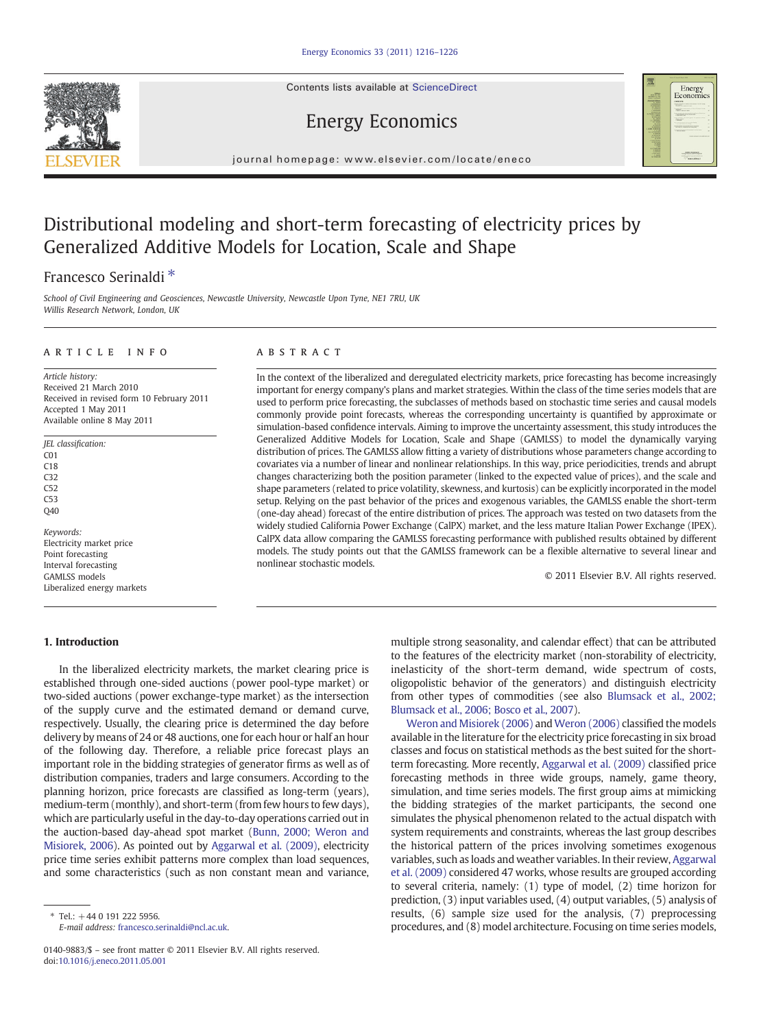Contents lists available at ScienceDirect



Energy Economics

### journal homepage: www.elsevier.com/locate/eneco

## Distributional modeling and short-term forecasting of electricity prices by Generalized Additive Models for Location, Scale and Shape

## Francesco Serinaldi<sup>\*</sup>

School of Civil Engineering and Geosciences, Newcastle University, Newcastle Upon Tyne, NE1 7RU, UK Willis Research Network, London, UK

### article info abstract

Article history: Received 21 March 2010 Received in revised form 10 February 2011 Accepted 1 May 2011 Available online 8 May 2011

JEL classification: C01 C18 C32  $C52$  $C53$ Q40

Keywords: Electricity market price Point forecasting Interval forecasting GAMLSS models Liberalized energy markets

In the context of the liberalized and deregulated electricity markets, price forecasting has become increasingly important for energy company's plans and market strategies. Within the class of the time series models that are used to perform price forecasting, the subclasses of methods based on stochastic time series and causal models commonly provide point forecasts, whereas the corresponding uncertainty is quantified by approximate or simulation-based confidence intervals. Aiming to improve the uncertainty assessment, this study introduces the Generalized Additive Models for Location, Scale and Shape (GAMLSS) to model the dynamically varying distribution of prices. The GAMLSS allow fitting a variety of distributions whose parameters change according to covariates via a number of linear and nonlinear relationships. In this way, price periodicities, trends and abrupt changes characterizing both the position parameter (linked to the expected value of prices), and the scale and shape parameters (related to price volatility, skewness, and kurtosis) can be explicitly incorporated in the model setup. Relying on the past behavior of the prices and exogenous variables, the GAMLSS enable the short-term (one-day ahead) forecast of the entire distribution of prices. The approach was tested on two datasets from the widely studied California Power Exchange (CalPX) market, and the less mature Italian Power Exchange (IPEX). CalPX data allow comparing the GAMLSS forecasting performance with published results obtained by different models. The study points out that the GAMLSS framework can be a flexible alternative to several linear and nonlinear stochastic models.

© 2011 Elsevier B.V. All rights reserved.

# 1. Introduction

In the liberalized electricity markets, the market clearing price is established through one-sided auctions (power pool-type market) or two-sided auctions (power exchange-type market) as the intersection of the supply curve and the estimated demand or demand curve, respectively. Usually, the clearing price is determined the day before delivery by means of 24 or 48 auctions, one for each hour or half an hour of the following day. Therefore, a reliable price forecast plays an important role in the bidding strategies of generator firms as well as of distribution companies, traders and large consumers. According to the planning horizon, price forecasts are classified as long-term (years), medium-term (monthly), and short-term (from few hours to few days), which are particularly useful in the day-to-day operations carried out in the auction-based day-ahead spot market [\(Bunn, 2000; Weron and](#page--1-0) [Misiorek, 2006](#page--1-0)). As pointed out by [Aggarwal et al. \(2009\)](#page--1-0), electricity price time series exhibit patterns more complex than load sequences, and some characteristics (such as non constant mean and variance,

E-mail address: [francesco.serinaldi@ncl.ac.uk](mailto:francesco.serinaldi@ncl.ac.uk).

multiple strong seasonality, and calendar effect) that can be attributed to the features of the electricity market (non-storability of electricity, inelasticity of the short-term demand, wide spectrum of costs, oligopolistic behavior of the generators) and distinguish electricity from other types of commodities (see also [Blumsack et al., 2002;](#page--1-0) [Blumsack et al., 2006; Bosco et al., 2007\)](#page--1-0).

[Weron and Misiorek \(2006\)](#page--1-0) and Weron (2006) classified the models available in the literature for the electricity price forecasting in six broad classes and focus on statistical methods as the best suited for the shortterm forecasting. More recently, [Aggarwal et al. \(2009\)](#page--1-0) classified price forecasting methods in three wide groups, namely, game theory, simulation, and time series models. The first group aims at mimicking the bidding strategies of the market participants, the second one simulates the physical phenomenon related to the actual dispatch with system requirements and constraints, whereas the last group describes the historical pattern of the prices involving sometimes exogenous variables, such as loads and weather variables. In their review, [Aggarwal](#page--1-0) [et al. \(2009\)](#page--1-0) considered 47 works, whose results are grouped according to several criteria, namely: (1) type of model, (2) time horizon for prediction, (3) input variables used, (4) output variables, (5) analysis of results, (6) sample size used for the analysis, (7) preprocessing procedures, and (8) model architecture. Focusing on time series models,

 $*$  Tel.:  $+44019122255956$ .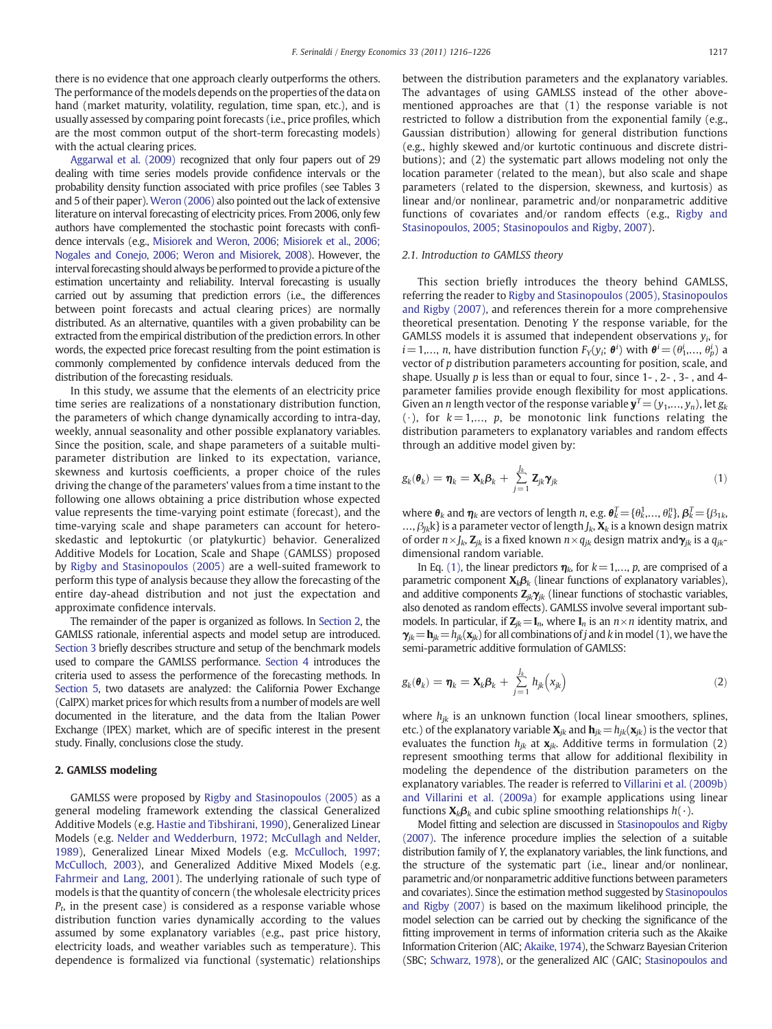there is no evidence that one approach clearly outperforms the others. The performance of the models depends on the properties of the data on hand (market maturity, volatility, regulation, time span, etc.), and is usually assessed by comparing point forecasts (i.e., price profiles, which are the most common output of the short-term forecasting models) with the actual clearing prices.

[Aggarwal et al. \(2009\)](#page--1-0) recognized that only four papers out of 29 dealing with time series models provide confidence intervals or the probability density function associated with price profiles (see Tables 3 and 5 of their paper). [Weron \(2006\)](#page--1-0) also pointed out the lack of extensive literature on interval forecasting of electricity prices. From 2006, only few authors have complemented the stochastic point forecasts with confidence intervals (e.g., [Misiorek and Weron, 2006; Misiorek et al., 2006;](#page--1-0) [Nogales and Conejo, 2006; Weron and Misiorek, 2008](#page--1-0)). However, the interval forecasting should always be performed to provide a picture of the estimation uncertainty and reliability. Interval forecasting is usually carried out by assuming that prediction errors (i.e., the differences between point forecasts and actual clearing prices) are normally distributed. As an alternative, quantiles with a given probability can be extracted from the empirical distribution of the prediction errors. In other words, the expected price forecast resulting from the point estimation is commonly complemented by confidence intervals deduced from the distribution of the forecasting residuals.

In this study, we assume that the elements of an electricity price time series are realizations of a nonstationary distribution function, the parameters of which change dynamically according to intra-day, weekly, annual seasonality and other possible explanatory variables. Since the position, scale, and shape parameters of a suitable multiparameter distribution are linked to its expectation, variance, skewness and kurtosis coefficients, a proper choice of the rules driving the change of the parameters' values from a time instant to the following one allows obtaining a price distribution whose expected value represents the time-varying point estimate (forecast), and the time-varying scale and shape parameters can account for heteroskedastic and leptokurtic (or platykurtic) behavior. Generalized Additive Models for Location, Scale and Shape (GAMLSS) proposed by [Rigby and Stasinopoulos \(2005\)](#page--1-0) are a well-suited framework to perform this type of analysis because they allow the forecasting of the entire day-ahead distribution and not just the expectation and approximate confidence intervals.

The remainder of the paper is organized as follows. In Section 2, the GAMLSS rationale, inferential aspects and model setup are introduced. [Section 3](#page--1-0) briefly describes structure and setup of the benchmark models used to compare the GAMLSS performance. [Section 4](#page--1-0) introduces the criteria used to assess the performence of the forecasting methods. In [Section 5,](#page--1-0) two datasets are analyzed: the California Power Exchange (CalPX) market prices for which results from a number of models are well documented in the literature, and the data from the Italian Power Exchange (IPEX) market, which are of specific interest in the present study. Finally, conclusions close the study.

### 2. GAMLSS modeling

GAMLSS were proposed by [Rigby and Stasinopoulos \(2005\)](#page--1-0) as a general modeling framework extending the classical Generalized Additive Models (e.g. [Hastie and Tibshirani, 1990\)](#page--1-0), Generalized Linear Models (e.g. [Nelder and Wedderburn, 1972; McCullagh and Nelder,](#page--1-0) [1989\)](#page--1-0), Generalized Linear Mixed Models (e.g. [McCulloch, 1997;](#page--1-0) [McCulloch, 2003\)](#page--1-0), and Generalized Additive Mixed Models (e.g. [Fahrmeir and Lang, 2001](#page--1-0)). The underlying rationale of such type of models is that the quantity of concern (the wholesale electricity prices  $P_t$ , in the present case) is considered as a response variable whose distribution function varies dynamically according to the values assumed by some explanatory variables (e.g., past price history, electricity loads, and weather variables such as temperature). This dependence is formalized via functional (systematic) relationships between the distribution parameters and the explanatory variables. The advantages of using GAMLSS instead of the other abovementioned approaches are that (1) the response variable is not restricted to follow a distribution from the exponential family (e.g., Gaussian distribution) allowing for general distribution functions (e.g., highly skewed and/or kurtotic continuous and discrete distributions); and (2) the systematic part allows modeling not only the location parameter (related to the mean), but also scale and shape parameters (related to the dispersion, skewness, and kurtosis) as linear and/or nonlinear, parametric and/or nonparametric additive functions of covariates and/or random effects (e.g., [Rigby and](#page--1-0) [Stasinopoulos, 2005; Stasinopoulos and Rigby, 2007\)](#page--1-0).

### 2.1. Introduction to GAMLSS theory

This section briefly introduces the theory behind GAMLSS, referring the reader to [Rigby and Stasinopoulos \(2005\), Stasinopoulos](#page--1-0) [and Rigby \(2007\),](#page--1-0) and references therein for a more comprehensive theoretical presentation. Denoting Y the response variable, for the GAMLSS models it is assumed that independent observations  $y_i$ , for  $i$  = 1,..., n, have distribution function  $F_Y(y_i; \, \pmb{\theta}^i)$  with  $\pmb{\theta}^i$  =  $(\theta_1^i,...,\, \theta_p^i)$  a vector of p distribution parameters accounting for position, scale, and shape. Usually  $p$  is less than or equal to four, since  $1 - 1$ ,  $2 - 1$ ,  $3 - 1$ , and  $4 - 1$ parameter families provide enough flexibility for most applications. Given an *n* length vector of the response variable  $y^T=(y_1,..., y_n)$ , let  $g_k$  $(·)$ , for  $k=1,..., p$ , be monotonic link functions relating the distribution parameters to explanatory variables and random effects through an additive model given by:

$$
g_k(\boldsymbol{\theta}_k) = \boldsymbol{\eta}_k = \mathbf{X}_k \boldsymbol{\beta}_k + \sum_{j=1}^{J_k} \mathbf{Z}_{jk} \boldsymbol{\gamma}_{jk}
$$
(1)

where  $\bm{\theta}_k$  and  $\bm{\eta}_k$  are vectors of length n, e.g.  $\bm{\theta}_k^T = \{\theta_k^1, \dots, \theta_k^n\}$ ,  $\bm{\beta}_k^T = \{\beta_{1k}, \dots, \beta_{km}\}$ ...,  $\beta_{lk}$ k} is a parameter vector of length  $J_k$ ,  $\mathbf{X}_k$  is a known design matrix of order  $n \times J_k$ ,  $\mathbf{Z}_{jk}$  is a fixed known  $n \times q_{jk}$  design matrix and  $\mathbf{\gamma}_{jk}$  is a  $q_{jk}$ dimensional random variable.

In Eq. (1), the linear predictors  $\eta_k$ , for  $k=1,..., p$ , are comprised of a parametric component  $\mathbf{X}_k \mathbf{\beta}_k$  (linear functions of explanatory variables), and additive components  $\mathbf{Z}_{jk}\boldsymbol{\gamma}_{jk}$  (linear functions of stochastic variables, also denoted as random effects). GAMLSS involve several important submodels. In particular, if  $Z_{ik} = I_n$ , where  $I_n$  is an  $n \times n$  identity matrix, and  $\gamma_{ik}=\mathbf{h}_{ik}=h_{ik}(\mathbf{x}_{ik})$  for all combinations of j and k in model (1), we have the semi-parametric additive formulation of GAMLSS:

$$
g_k(\boldsymbol{\theta}_k) = \boldsymbol{\eta}_k = \mathbf{X}_k \boldsymbol{\beta}_k + \sum_{j=1}^{J_k} h_{jk} (x_{jk})
$$
 (2)

where  $h_{jk}$  is an unknown function (local linear smoothers, splines, etc.) of the explanatory variable  $\mathbf{X}_{jk}$  and  $\mathbf{h}_{jk}=h_{jk}(\mathbf{x}_{jk})$  is the vector that evaluates the function  $h_{jk}$  at  $\mathbf{x}_{jk}$ . Additive terms in formulation (2) represent smoothing terms that allow for additional flexibility in modeling the dependence of the distribution parameters on the explanatory variables. The reader is referred to [Villarini et al. \(2009b\)](#page--1-0) [and Villarini et al. \(2009a\)](#page--1-0) for example applications using linear functions  $\mathbf{X}_k \boldsymbol{\beta}_k$  and cubic spline smoothing relationships  $h(\cdot)$ .

Model fitting and selection are discussed in [Stasinopoulos and Rigby](#page--1-0) [\(2007\).](#page--1-0) The inference procedure implies the selection of a suitable distribution family of Y, the explanatory variables, the link functions, and the structure of the systematic part (i.e., linear and/or nonlinear, parametric and/or nonparametric additive functions between parameters and covariates). Since the estimation method suggested by [Stasinopoulos](#page--1-0) [and Rigby \(2007\)](#page--1-0) is based on the maximum likelihood principle, the model selection can be carried out by checking the significance of the fitting improvement in terms of information criteria such as the Akaike Information Criterion (AIC; [Akaike, 1974\)](#page--1-0), the Schwarz Bayesian Criterion (SBC; [Schwarz, 1978](#page--1-0)), or the generalized AIC (GAIC; [Stasinopoulos and](#page--1-0)